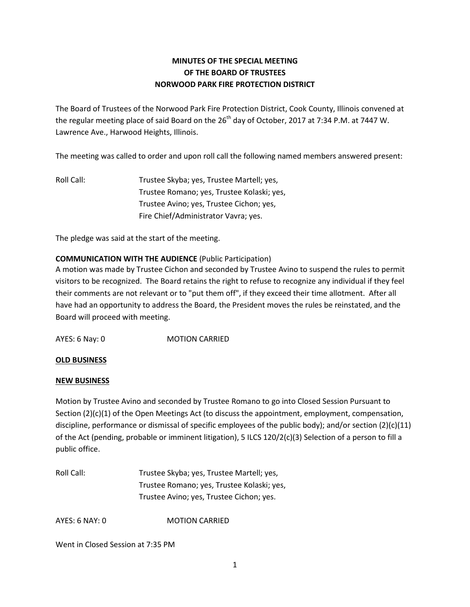## **MINUTES OF THE SPECIAL MEETING OF THE BOARD OF TRUSTEES NORWOOD PARK FIRE PROTECTION DISTRICT**

The Board of Trustees of the Norwood Park Fire Protection District, Cook County, Illinois convened at the regular meeting place of said Board on the 26<sup>th</sup> day of October, 2017 at 7:34 P.M. at 7447 W. Lawrence Ave., Harwood Heights, Illinois.

The meeting was called to order and upon roll call the following named members answered present:

Roll Call: Trustee Skyba; yes, Trustee Martell; yes, Trustee Romano; yes, Trustee Kolaski; yes, Trustee Avino; yes, Trustee Cichon; yes, Fire Chief/Administrator Vavra; yes.

The pledge was said at the start of the meeting.

## **COMMUNICATION WITH THE AUDIENCE** (Public Participation)

A motion was made by Trustee Cichon and seconded by Trustee Avino to suspend the rules to permit visitors to be recognized. The Board retains the right to refuse to recognize any individual if they feel their comments are not relevant or to "put them off", if they exceed their time allotment. After all have had an opportunity to address the Board, the President moves the rules be reinstated, and the Board will proceed with meeting.

AYES: 6 Nay: 0 MOTION CARRIED

## **OLD BUSINESS**

## **NEW BUSINESS**

Motion by Trustee Avino and seconded by Trustee Romano to go into Closed Session Pursuant to Section (2)(c)(1) of the Open Meetings Act (to discuss the appointment, employment, compensation, discipline, performance or dismissal of specific employees of the public body); and/or section (2)(c)(11) of the Act (pending, probable or imminent litigation), 5 ILCS 120/2(c)(3) Selection of a person to fill a public office.

Roll Call: Trustee Skyba; yes, Trustee Martell; yes, Trustee Romano; yes, Trustee Kolaski; yes, Trustee Avino; yes, Trustee Cichon; yes.

AYES: 6 NAY: 0 MOTION CARRIED

Went in Closed Session at 7:35 PM